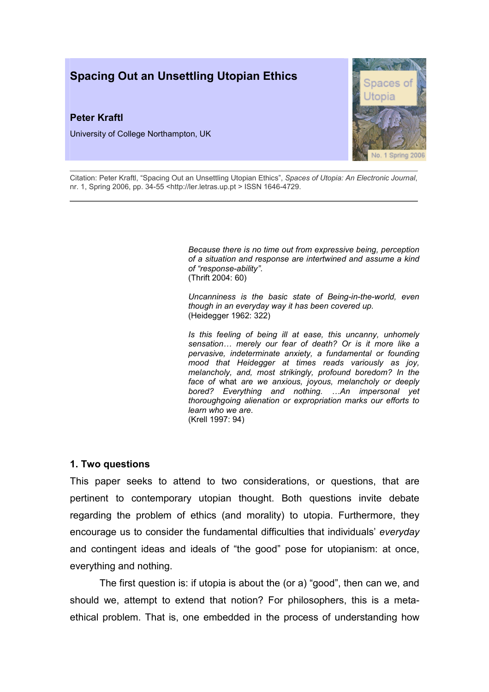# Spacing Out an Unsettling Utopian Ethics

## Peter Kraftl

University of College Northampton, UK



Citation: Peter Kraftl, "Spacing Out an Unsettling Utopian Ethics", Spaces of Utopia: An Electronic Journal, nr. 1, Spring 2006, pp. 34-55 <http://ler.letras.up.pt > ISSN 1646-4729.

> Because there is no time out from expressive being, perception of a situation and response are intertwined and assume a kind of "response-ability". (Thrift 2004: 60)

> Uncanniness is the basic state of Being-in-the-world, even though in an everyday way it has been covered up. (Heidegger 1962: 322)

> Is this feeling of being ill at ease, this uncanny, unhomely sensation... merely our fear of death? Or is it more like a pervasive, indeterminate anxiety, a fundamental or founding mood that Heidegger at times reads variously as joy, melancholy, and, most strikingly, profound boredom? In the face of what are we anxious, joyous, melancholy or deeply bored? Everything and nothing. …An impersonal yet thoroughgoing alienation or expropriation marks our efforts to learn who we are. (Krell 1997: 94)

### 1. Two questions

This paper seeks to attend to two considerations, or questions, that are pertinent to contemporary utopian thought. Both questions invite debate regarding the problem of ethics (and morality) to utopia. Furthermore, they encourage us to consider the fundamental difficulties that individuals' everyday and contingent ideas and ideals of "the good" pose for utopianism: at once, everything and nothing.

The first question is: if utopia is about the (or a) "good", then can we, and should we, attempt to extend that notion? For philosophers, this is a metaethical problem. That is, one embedded in the process of understanding how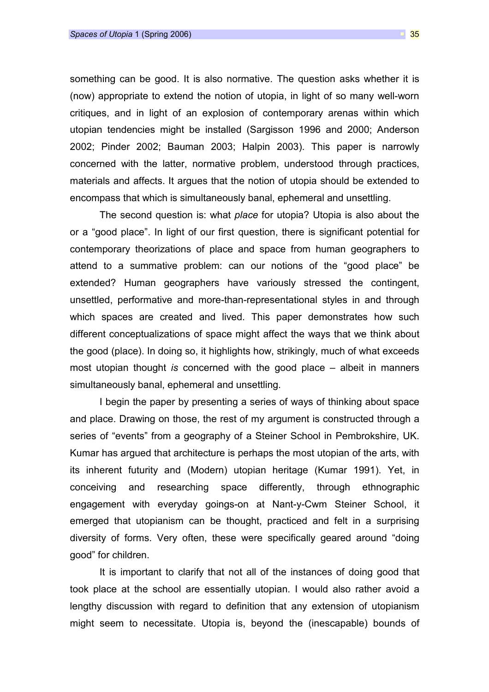something can be good. It is also normative. The question asks whether it is (now) appropriate to extend the notion of utopia, in light of so many well-worn critiques, and in light of an explosion of contemporary arenas within which utopian tendencies might be installed (Sargisson 1996 and 2000; Anderson 2002; Pinder 2002; Bauman 2003; Halpin 2003). This paper is narrowly concerned with the latter, normative problem, understood through practices, materials and affects. It argues that the notion of utopia should be extended to encompass that which is simultaneously banal, ephemeral and unsettling.

The second question is: what place for utopia? Utopia is also about the or a "good place". In light of our first question, there is significant potential for contemporary theorizations of place and space from human geographers to attend to a summative problem: can our notions of the "good place" be extended? Human geographers have variously stressed the contingent, unsettled, performative and more-than-representational styles in and through which spaces are created and lived. This paper demonstrates how such different conceptualizations of space might affect the ways that we think about the good (place). In doing so, it highlights how, strikingly, much of what exceeds most utopian thought is concerned with the good place – albeit in manners simultaneously banal, ephemeral and unsettling.

I begin the paper by presenting a series of ways of thinking about space and place. Drawing on those, the rest of my argument is constructed through a series of "events" from a geography of a Steiner School in Pembrokshire, UK. Kumar has argued that architecture is perhaps the most utopian of the arts, with its inherent futurity and (Modern) utopian heritage (Kumar 1991). Yet, in conceiving and researching space differently, through ethnographic engagement with everyday goings-on at Nant-y-Cwm Steiner School, it emerged that utopianism can be thought, practiced and felt in a surprising diversity of forms. Very often, these were specifically geared around "doing good" for children.

It is important to clarify that not all of the instances of doing good that took place at the school are essentially utopian. I would also rather avoid a lengthy discussion with regard to definition that any extension of utopianism might seem to necessitate. Utopia is, beyond the (inescapable) bounds of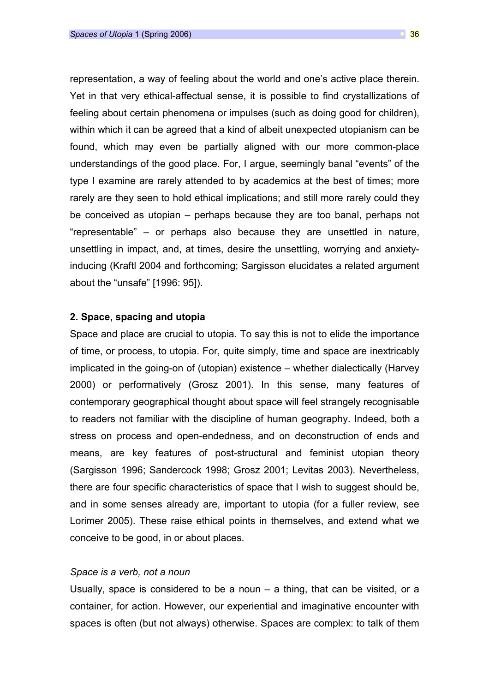representation, a way of feeling about the world and one's active place therein. Yet in that very ethical-affectual sense, it is possible to find crystallizations of feeling about certain phenomena or impulses (such as doing good for children), within which it can be agreed that a kind of albeit unexpected utopianism can be found, which may even be partially aligned with our more common-place understandings of the good place. For, I argue, seemingly banal "events" of the type I examine are rarely attended to by academics at the best of times; more rarely are they seen to hold ethical implications; and still more rarely could they be conceived as utopian – perhaps because they are too banal, perhaps not "representable" – or perhaps also because they are unsettled in nature, unsettling in impact, and, at times, desire the unsettling, worrying and anxietyinducing (Kraftl 2004 and forthcoming; Sargisson elucidates a related argument about the "unsafe" [1996: 95]).

### 2. Space, spacing and utopia

Space and place are crucial to utopia. To say this is not to elide the importance of time, or process, to utopia. For, quite simply, time and space are inextricably implicated in the going-on of (utopian) existence – whether dialectically (Harvey 2000) or performatively (Grosz 2001). In this sense, many features of contemporary geographical thought about space will feel strangely recognisable to readers not familiar with the discipline of human geography. Indeed, both a stress on process and open-endedness, and on deconstruction of ends and means, are key features of post-structural and feminist utopian theory (Sargisson 1996; Sandercock 1998; Grosz 2001; Levitas 2003). Nevertheless, there are four specific characteristics of space that I wish to suggest should be, and in some senses already are, important to utopia (for a fuller review, see Lorimer 2005). These raise ethical points in themselves, and extend what we conceive to be good, in or about places.

### Space is a verb, not a noun

Usually, space is considered to be a noun  $-$  a thing, that can be visited, or a container, for action. However, our experiential and imaginative encounter with spaces is often (but not always) otherwise. Spaces are complex: to talk of them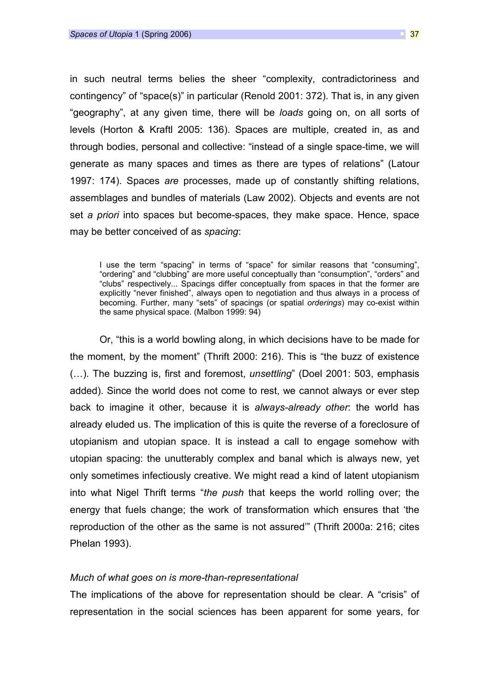in such neutral terms belies the sheer "complexity, contradictoriness and contingency" of "space(s)" in particular (Renold 2001: 372). That is, in any given "geography", at any given time, there will be loads going on, on all sorts of levels (Horton & Kraftl 2005: 136). Spaces are multiple, created in, as and through bodies, personal and collective: "instead of a single space-time, we will generate as many spaces and times as there are types of relations" (Latour 1997: 174). Spaces are processes, made up of constantly shifting relations, assemblages and bundles of materials (Law 2002). Objects and events are not set a priori into spaces but become-spaces, they make space. Hence, space may be better conceived of as spacing:

I use the term "spacing" in terms of "space" for similar reasons that "consuming", "ordering" and "clubbing" are more useful conceptually than "consumption", "orders" and "clubs" respectively... Spacings differ conceptually from spaces in that the former are explicitly "never finished", always open to negotiation and thus always in a process of becoming. Further, many "sets" of spacings (or spatial orderings) may co-exist within the same physical space. (Malbon 1999: 94)

Or, "this is a world bowling along, in which decisions have to be made for the moment, by the moment" (Thrift 2000: 216). This is "the buzz of existence (…). The buzzing is, first and foremost, unsettling" (Doel 2001: 503, emphasis added). Since the world does not come to rest, we cannot always or ever step back to imagine it other, because it is always-already other: the world has already eluded us. The implication of this is quite the reverse of a foreclosure of utopianism and utopian space. It is instead a call to engage somehow with utopian spacing: the unutterably complex and banal which is always new, yet only sometimes infectiously creative. We might read a kind of latent utopianism into what Nigel Thrift terms "the push that keeps the world rolling over; the energy that fuels change; the work of transformation which ensures that 'the reproduction of the other as the same is not assured'" (Thrift 2000a: 216; cites Phelan 1993).

#### Much of what goes on is more-than-representational

The implications of the above for representation should be clear. A "crisis" of representation in the social sciences has been apparent for some years, for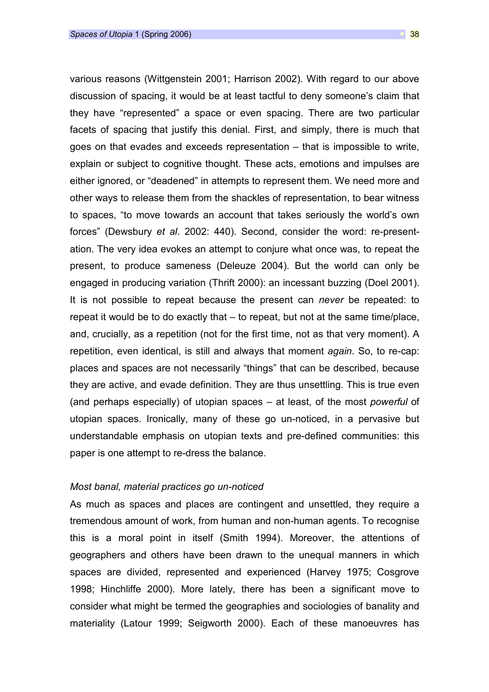various reasons (Wittgenstein 2001; Harrison 2002). With regard to our above discussion of spacing, it would be at least tactful to deny someone's claim that they have "represented" a space or even spacing. There are two particular facets of spacing that justify this denial. First, and simply, there is much that goes on that evades and exceeds representation – that is impossible to write, explain or subject to cognitive thought. These acts, emotions and impulses are either ignored, or "deadened" in attempts to represent them. We need more and other ways to release them from the shackles of representation, to bear witness to spaces, "to move towards an account that takes seriously the world's own forces" (Dewsbury et al. 2002: 440). Second, consider the word: re-presentation. The very idea evokes an attempt to conjure what once was, to repeat the present, to produce sameness (Deleuze 2004). But the world can only be engaged in producing variation (Thrift 2000): an incessant buzzing (Doel 2001). It is not possible to repeat because the present can never be repeated: to repeat it would be to do exactly that – to repeat, but not at the same time/place, and, crucially, as a repetition (not for the first time, not as that very moment). A repetition, even identical, is still and always that moment again. So, to re-cap: places and spaces are not necessarily "things" that can be described, because they are active, and evade definition. They are thus unsettling. This is true even (and perhaps especially) of utopian spaces – at least, of the most powerful of utopian spaces. Ironically, many of these go un-noticed, in a pervasive but understandable emphasis on utopian texts and pre-defined communities: this paper is one attempt to re-dress the balance.

### Most banal, material practices go un-noticed

As much as spaces and places are contingent and unsettled, they require a tremendous amount of work, from human and non-human agents. To recognise this is a moral point in itself (Smith 1994). Moreover, the attentions of geographers and others have been drawn to the unequal manners in which spaces are divided, represented and experienced (Harvey 1975; Cosgrove 1998; Hinchliffe 2000). More lately, there has been a significant move to consider what might be termed the geographies and sociologies of banality and materiality (Latour 1999; Seigworth 2000). Each of these manoeuvres has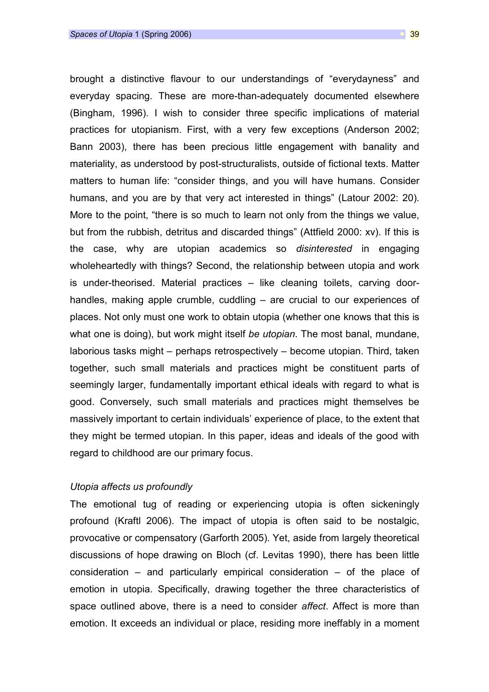brought a distinctive flavour to our understandings of "everydayness" and everyday spacing. These are more-than-adequately documented elsewhere (Bingham, 1996). I wish to consider three specific implications of material practices for utopianism. First, with a very few exceptions (Anderson 2002; Bann 2003), there has been precious little engagement with banality and materiality, as understood by post-structuralists, outside of fictional texts. Matter matters to human life: "consider things, and you will have humans. Consider humans, and you are by that very act interested in things" (Latour 2002: 20). More to the point, "there is so much to learn not only from the things we value, but from the rubbish, detritus and discarded things" (Attfield 2000: xv). If this is the case, why are utopian academics so *disinterested* in engaging wholeheartedly with things? Second, the relationship between utopia and work is under-theorised. Material practices – like cleaning toilets, carving doorhandles, making apple crumble, cuddling – are crucial to our experiences of places. Not only must one work to obtain utopia (whether one knows that this is what one is doing), but work might itself be *utopian*. The most banal, mundane, laborious tasks might – perhaps retrospectively – become utopian. Third, taken together, such small materials and practices might be constituent parts of seemingly larger, fundamentally important ethical ideals with regard to what is good. Conversely, such small materials and practices might themselves be massively important to certain individuals' experience of place, to the extent that they might be termed utopian. In this paper, ideas and ideals of the good with regard to childhood are our primary focus.

### Utopia affects us profoundly

The emotional tug of reading or experiencing utopia is often sickeningly profound (Kraftl 2006). The impact of utopia is often said to be nostalgic, provocative or compensatory (Garforth 2005). Yet, aside from largely theoretical discussions of hope drawing on Bloch (cf. Levitas 1990), there has been little consideration – and particularly empirical consideration – of the place of emotion in utopia. Specifically, drawing together the three characteristics of space outlined above, there is a need to consider affect. Affect is more than emotion. It exceeds an individual or place, residing more ineffably in a moment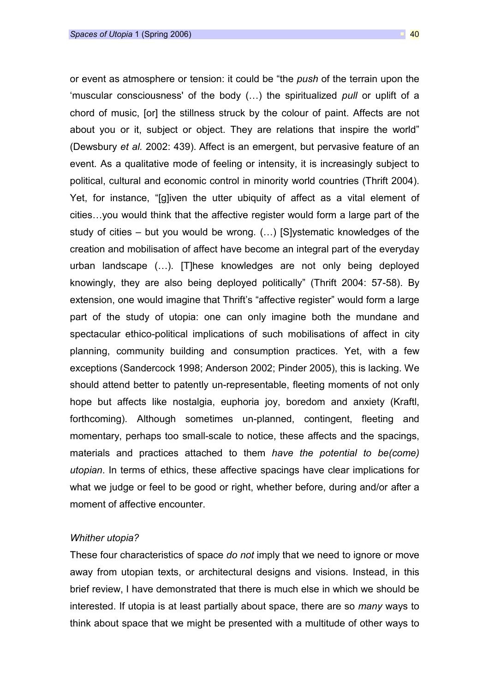or event as atmosphere or tension: it could be "the *push* of the terrain upon the 'muscular consciousness' of the body (…) the spiritualized pull or uplift of a chord of music, [or] the stillness struck by the colour of paint. Affects are not about you or it, subject or object. They are relations that inspire the world" (Dewsbury et al. 2002: 439). Affect is an emergent, but pervasive feature of an event. As a qualitative mode of feeling or intensity, it is increasingly subject to political, cultural and economic control in minority world countries (Thrift 2004). Yet, for instance, "[g]iven the utter ubiquity of affect as a vital element of cities…you would think that the affective register would form a large part of the study of cities – but you would be wrong. (…) [S]ystematic knowledges of the creation and mobilisation of affect have become an integral part of the everyday urban landscape (…). [T]hese knowledges are not only being deployed knowingly, they are also being deployed politically" (Thrift 2004: 57-58). By extension, one would imagine that Thrift's "affective register" would form a large part of the study of utopia: one can only imagine both the mundane and spectacular ethico-political implications of such mobilisations of affect in city planning, community building and consumption practices. Yet, with a few exceptions (Sandercock 1998; Anderson 2002; Pinder 2005), this is lacking. We should attend better to patently un-representable, fleeting moments of not only hope but affects like nostalgia, euphoria joy, boredom and anxiety (Kraftl, forthcoming). Although sometimes un-planned, contingent, fleeting and momentary, perhaps too small-scale to notice, these affects and the spacings, materials and practices attached to them have the potential to be(come) utopian. In terms of ethics, these affective spacings have clear implications for what we judge or feel to be good or right, whether before, during and/or after a moment of affective encounter.

### Whither utopia?

These four characteristics of space do not imply that we need to ignore or move away from utopian texts, or architectural designs and visions. Instead, in this brief review, I have demonstrated that there is much else in which we should be interested. If utopia is at least partially about space, there are so many ways to think about space that we might be presented with a multitude of other ways to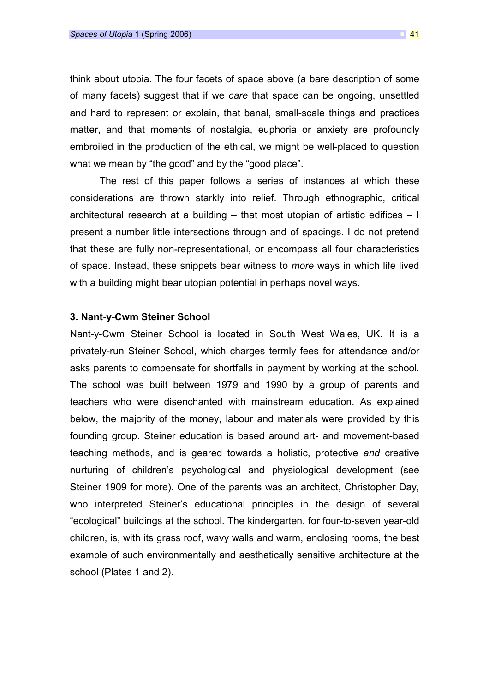think about utopia. The four facets of space above (a bare description of some of many facets) suggest that if we care that space can be ongoing, unsettled and hard to represent or explain, that banal, small-scale things and practices matter, and that moments of nostalgia, euphoria or anxiety are profoundly embroiled in the production of the ethical, we might be well-placed to question what we mean by "the good" and by the "good place".

The rest of this paper follows a series of instances at which these considerations are thrown starkly into relief. Through ethnographic, critical architectural research at a building  $-$  that most utopian of artistic edifices  $-1$ present a number little intersections through and of spacings. I do not pretend that these are fully non-representational, or encompass all four characteristics of space. Instead, these snippets bear witness to more ways in which life lived with a building might bear utopian potential in perhaps novel ways.

## 3. Nant-y-Cwm Steiner School

Nant-y-Cwm Steiner School is located in South West Wales, UK. It is a privately-run Steiner School, which charges termly fees for attendance and/or asks parents to compensate for shortfalls in payment by working at the school. The school was built between 1979 and 1990 by a group of parents and teachers who were disenchanted with mainstream education. As explained below, the majority of the money, labour and materials were provided by this founding group. Steiner education is based around art- and movement-based teaching methods, and is geared towards a holistic, protective and creative nurturing of children's psychological and physiological development (see Steiner 1909 for more). One of the parents was an architect, Christopher Day, who interpreted Steiner's educational principles in the design of several "ecological" buildings at the school. The kindergarten, for four-to-seven year-old children, is, with its grass roof, wavy walls and warm, enclosing rooms, the best example of such environmentally and aesthetically sensitive architecture at the school (Plates 1 and 2).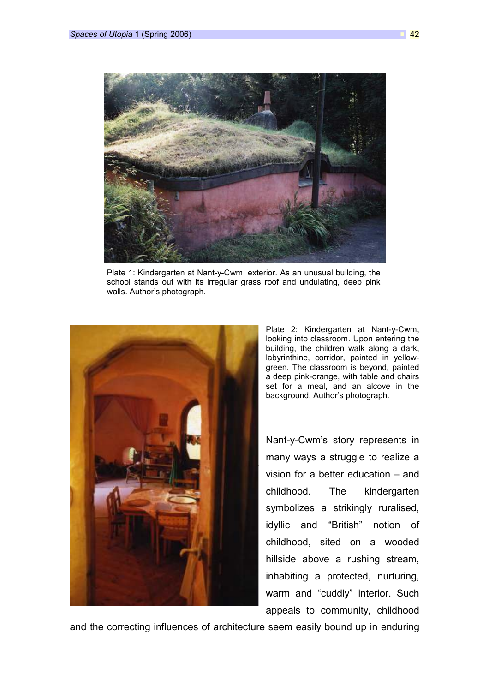

Plate 1: Kindergarten at Nant-y-Cwm, exterior. As an unusual building, the school stands out with its irregular grass roof and undulating, deep pink walls. Author's photograph.



Plate 2: Kindergarten at Nant-y-Cwm, looking into classroom. Upon entering the building, the children walk along a dark, labyrinthine, corridor, painted in yellowgreen. The classroom is beyond, painted a deep pink-orange, with table and chairs set for a meal, and an alcove in the background. Author's photograph.

Nant-y-Cwm's story represents in many ways a struggle to realize a vision for a better education – and childhood. The kindergarten symbolizes a strikingly ruralised, idyllic and "British" notion of childhood, sited on a wooded hillside above a rushing stream, inhabiting a protected, nurturing, warm and "cuddly" interior. Such appeals to community, childhood

and the correcting influences of architecture seem easily bound up in enduring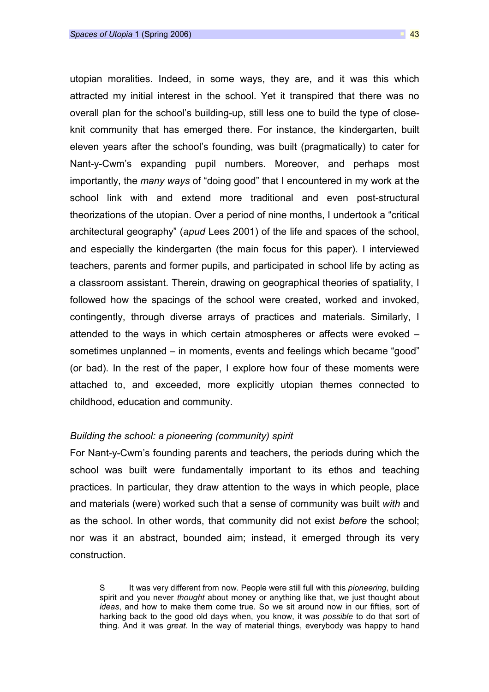utopian moralities. Indeed, in some ways, they are, and it was this which attracted my initial interest in the school. Yet it transpired that there was no overall plan for the school's building-up, still less one to build the type of closeknit community that has emerged there. For instance, the kindergarten, built eleven years after the school's founding, was built (pragmatically) to cater for Nant-y-Cwm's expanding pupil numbers. Moreover, and perhaps most importantly, the many ways of "doing good" that I encountered in my work at the school link with and extend more traditional and even post-structural theorizations of the utopian. Over a period of nine months, I undertook a "critical architectural geography" (apud Lees 2001) of the life and spaces of the school, and especially the kindergarten (the main focus for this paper). I interviewed teachers, parents and former pupils, and participated in school life by acting as a classroom assistant. Therein, drawing on geographical theories of spatiality, I followed how the spacings of the school were created, worked and invoked, contingently, through diverse arrays of practices and materials. Similarly, I attended to the ways in which certain atmospheres or affects were evoked – sometimes unplanned – in moments, events and feelings which became "good" (or bad). In the rest of the paper, I explore how four of these moments were attached to, and exceeded, more explicitly utopian themes connected to childhood, education and community.

### Building the school: a pioneering (community) spirit

For Nant-y-Cwm's founding parents and teachers, the periods during which the school was built were fundamentally important to its ethos and teaching practices. In particular, they draw attention to the ways in which people, place and materials (were) worked such that a sense of community was built with and as the school. In other words, that community did not exist before the school; nor was it an abstract, bounded aim; instead, it emerged through its very construction.

S It was very different from now. People were still full with this *pioneering*, building spirit and you never *thought* about money or anything like that, we just thought about ideas, and how to make them come true. So we sit around now in our fifties, sort of harking back to the good old days when, you know, it was possible to do that sort of thing. And it was great. In the way of material things, everybody was happy to hand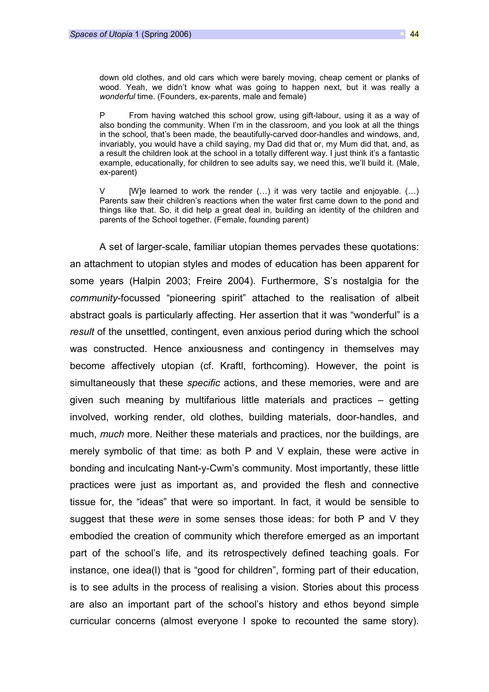down old clothes, and old cars which were barely moving, cheap cement or planks of wood. Yeah, we didn't know what was going to happen next, but it was really a wonderful time. (Founders, ex-parents, male and female)

P From having watched this school grow, using gift-labour, using it as a way of also bonding the community. When I'm in the classroom, and you look at all the things in the school, that's been made, the beautifully-carved door-handles and windows, and, invariably, you would have a child saying, my Dad did that or, my Mum did that, and, as a result the children look at the school in a totally different way. I just think it's a fantastic example, educationally, for children to see adults say, we need this, we'll build it. (Male, ex-parent)

V [W]e learned to work the render  $(...)$  it was very tactile and enjoyable.  $(...)$ Parents saw their children's reactions when the water first came down to the pond and things like that. So, it did help a great deal in, building an identity of the children and parents of the School together. (Female, founding parent)

A set of larger-scale, familiar utopian themes pervades these quotations: an attachment to utopian styles and modes of education has been apparent for some years (Halpin 2003; Freire 2004). Furthermore, S's nostalgia for the community-focussed "pioneering spirit" attached to the realisation of albeit abstract goals is particularly affecting. Her assertion that it was "wonderful" is a result of the unsettled, contingent, even anxious period during which the school was constructed. Hence anxiousness and contingency in themselves may become affectively utopian (cf. Kraftl, forthcoming). However, the point is simultaneously that these *specific* actions, and these memories, were and are given such meaning by multifarious little materials and practices – getting involved, working render, old clothes, building materials, door-handles, and much, *much* more. Neither these materials and practices, nor the buildings, are merely symbolic of that time: as both P and V explain, these were active in bonding and inculcating Nant-y-Cwm's community. Most importantly, these little practices were just as important as, and provided the flesh and connective tissue for, the "ideas" that were so important. In fact, it would be sensible to suggest that these were in some senses those ideas: for both  $P$  and  $V$  they embodied the creation of community which therefore emerged as an important part of the school's life, and its retrospectively defined teaching goals. For instance, one idea(l) that is "good for children", forming part of their education, is to see adults in the process of realising a vision. Stories about this process are also an important part of the school's history and ethos beyond simple curricular concerns (almost everyone I spoke to recounted the same story).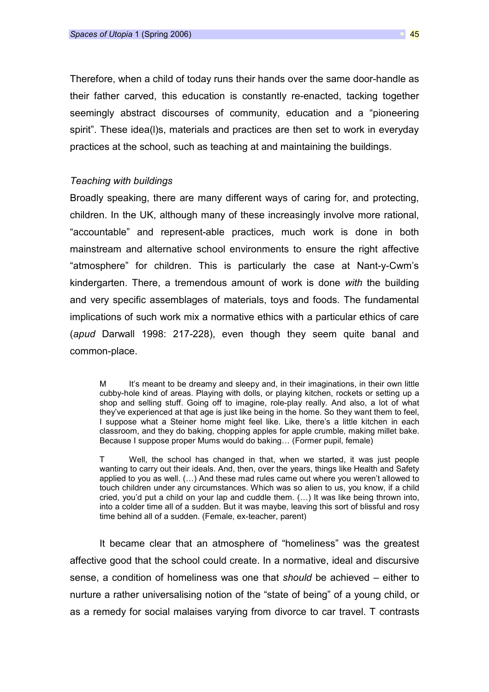Therefore, when a child of today runs their hands over the same door-handle as their father carved, this education is constantly re-enacted, tacking together seemingly abstract discourses of community, education and a "pioneering spirit". These idea(l)s, materials and practices are then set to work in everyday practices at the school, such as teaching at and maintaining the buildings.

### Teaching with buildings

Broadly speaking, there are many different ways of caring for, and protecting, children. In the UK, although many of these increasingly involve more rational, "accountable" and represent-able practices, much work is done in both mainstream and alternative school environments to ensure the right affective "atmosphere" for children. This is particularly the case at Nant-y-Cwm's kindergarten. There, a tremendous amount of work is done with the building and very specific assemblages of materials, toys and foods. The fundamental implications of such work mix a normative ethics with a particular ethics of care (apud Darwall 1998: 217-228), even though they seem quite banal and common-place.

M It's meant to be dreamy and sleepy and, in their imaginations, in their own little cubby-hole kind of areas. Playing with dolls, or playing kitchen, rockets or setting up a shop and selling stuff. Going off to imagine, role-play really. And also, a lot of what they've experienced at that age is just like being in the home. So they want them to feel, I suppose what a Steiner home might feel like. Like, there's a little kitchen in each classroom, and they do baking, chopping apples for apple crumble, making millet bake. Because I suppose proper Mums would do baking… (Former pupil, female)

T Well, the school has changed in that, when we started, it was just people wanting to carry out their ideals. And, then, over the years, things like Health and Safety applied to you as well. (…) And these mad rules came out where you weren't allowed to touch children under any circumstances. Which was so alien to us, you know, if a child cried, you'd put a child on your lap and cuddle them. (…) It was like being thrown into, into a colder time all of a sudden. But it was maybe, leaving this sort of blissful and rosy time behind all of a sudden. (Female, ex-teacher, parent)

It became clear that an atmosphere of "homeliness" was the greatest affective good that the school could create. In a normative, ideal and discursive sense, a condition of homeliness was one that should be achieved – either to nurture a rather universalising notion of the "state of being" of a young child, or as a remedy for social malaises varying from divorce to car travel. T contrasts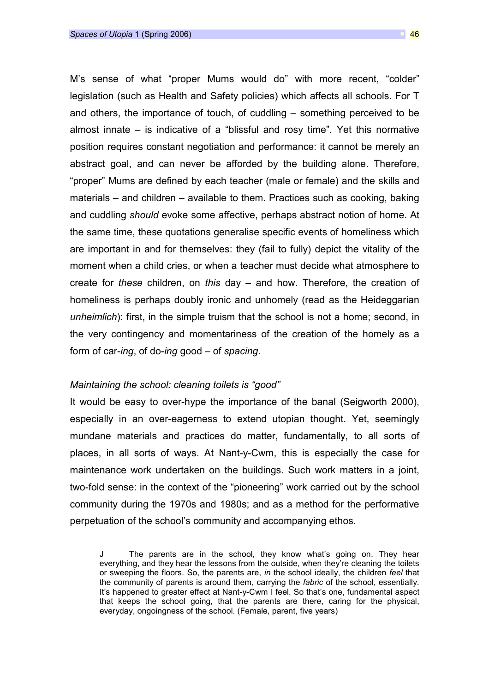M's sense of what "proper Mums would do" with more recent, "colder" legislation (such as Health and Safety policies) which affects all schools. For T and others, the importance of touch, of cuddling – something perceived to be almost innate – is indicative of a "blissful and rosy time". Yet this normative position requires constant negotiation and performance: it cannot be merely an abstract goal, and can never be afforded by the building alone. Therefore, "proper" Mums are defined by each teacher (male or female) and the skills and materials – and children – available to them. Practices such as cooking, baking and cuddling should evoke some affective, perhaps abstract notion of home. At the same time, these quotations generalise specific events of homeliness which are important in and for themselves: they (fail to fully) depict the vitality of the moment when a child cries, or when a teacher must decide what atmosphere to create for these children, on this day  $-$  and how. Therefore, the creation of homeliness is perhaps doubly ironic and unhomely (read as the Heideggarian unheimlich): first, in the simple truism that the school is not a home; second, in the very contingency and momentariness of the creation of the homely as a form of car-ing, of do-ing good – of spacing.

### Maintaining the school: cleaning toilets is "good"

It would be easy to over-hype the importance of the banal (Seigworth 2000), especially in an over-eagerness to extend utopian thought. Yet, seemingly mundane materials and practices do matter, fundamentally, to all sorts of places, in all sorts of ways. At Nant-y-Cwm, this is especially the case for maintenance work undertaken on the buildings. Such work matters in a joint, two-fold sense: in the context of the "pioneering" work carried out by the school community during the 1970s and 1980s; and as a method for the performative perpetuation of the school's community and accompanying ethos.

J The parents are in the school, they know what's going on. They hear everything, and they hear the lessons from the outside, when they're cleaning the toilets or sweeping the floors. So, the parents are, in the school ideally, the children feel that the community of parents is around them, carrying the fabric of the school, essentially. It's happened to greater effect at Nant-y-Cwm I feel. So that's one, fundamental aspect that keeps the school going, that the parents are there, caring for the physical, everyday, ongoingness of the school. (Female, parent, five years)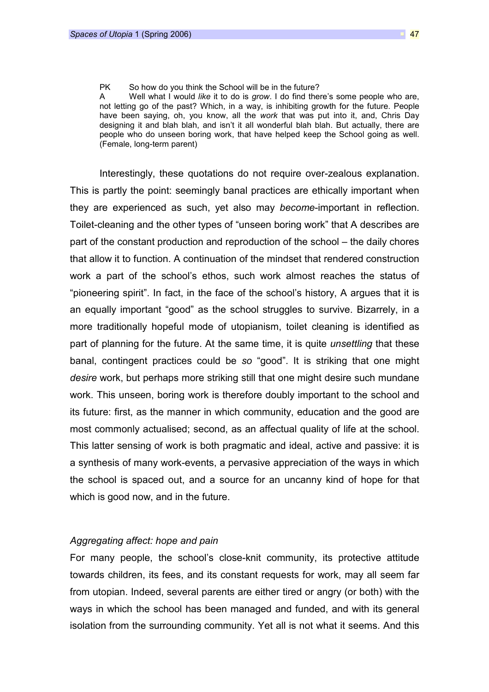#### PK So how do you think the School will be in the future?

A Well what I would like it to do is grow. I do find there's some people who are, not letting go of the past? Which, in a way, is inhibiting growth for the future. People have been saying, oh, you know, all the work that was put into it, and, Chris Day designing it and blah blah, and isn't it all wonderful blah blah. But actually, there are people who do unseen boring work, that have helped keep the School going as well. (Female, long-term parent)

Interestingly, these quotations do not require over-zealous explanation. This is partly the point: seemingly banal practices are ethically important when they are experienced as such, yet also may become-important in reflection. Toilet-cleaning and the other types of "unseen boring work" that A describes are part of the constant production and reproduction of the school – the daily chores that allow it to function. A continuation of the mindset that rendered construction work a part of the school's ethos, such work almost reaches the status of "pioneering spirit". In fact, in the face of the school's history, A argues that it is an equally important "good" as the school struggles to survive. Bizarrely, in a more traditionally hopeful mode of utopianism, toilet cleaning is identified as part of planning for the future. At the same time, it is quite *unsettling* that these banal, contingent practices could be so "good". It is striking that one might desire work, but perhaps more striking still that one might desire such mundane work. This unseen, boring work is therefore doubly important to the school and its future: first, as the manner in which community, education and the good are most commonly actualised; second, as an affectual quality of life at the school. This latter sensing of work is both pragmatic and ideal, active and passive: it is a synthesis of many work-events, a pervasive appreciation of the ways in which the school is spaced out, and a source for an uncanny kind of hope for that which is good now, and in the future.

### Aggregating affect: hope and pain

For many people, the school's close-knit community, its protective attitude towards children, its fees, and its constant requests for work, may all seem far from utopian. Indeed, several parents are either tired or angry (or both) with the ways in which the school has been managed and funded, and with its general isolation from the surrounding community. Yet all is not what it seems. And this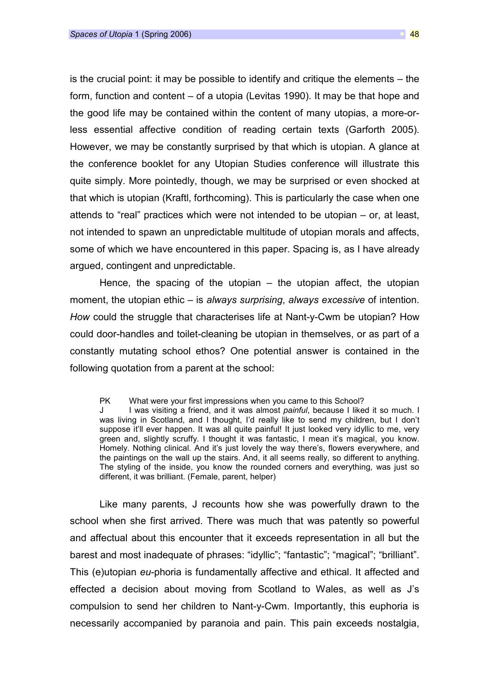is the crucial point: it may be possible to identify and critique the elements – the form, function and content – of a utopia (Levitas 1990). It may be that hope and the good life may be contained within the content of many utopias, a more-orless essential affective condition of reading certain texts (Garforth 2005). However, we may be constantly surprised by that which is utopian. A glance at the conference booklet for any Utopian Studies conference will illustrate this quite simply. More pointedly, though, we may be surprised or even shocked at that which is utopian (Kraftl, forthcoming). This is particularly the case when one attends to "real" practices which were not intended to be utopian – or, at least, not intended to spawn an unpredictable multitude of utopian morals and affects, some of which we have encountered in this paper. Spacing is, as I have already argued, contingent and unpredictable.

Hence, the spacing of the utopian  $-$  the utopian affect, the utopian moment, the utopian ethic – is always surprising, always excessive of intention. How could the struggle that characterises life at Nant-y-Cwm be utopian? How could door-handles and toilet-cleaning be utopian in themselves, or as part of a constantly mutating school ethos? One potential answer is contained in the following quotation from a parent at the school:

PK What were your first impressions when you came to this School?

J I was visiting a friend, and it was almost *painful*, because I liked it so much. I was living in Scotland, and I thought, I'd really like to send my children, but I don't suppose it'll ever happen. It was all quite painful! It just looked very idyllic to me, very green and, slightly scruffy. I thought it was fantastic, I mean it's magical, you know. Homely. Nothing clinical. And it's just lovely the way there's, flowers everywhere, and the paintings on the wall up the stairs. And, it all seems really, so different to anything. The styling of the inside, you know the rounded corners and everything, was just so different, it was brilliant. (Female, parent, helper)

Like many parents, J recounts how she was powerfully drawn to the school when she first arrived. There was much that was patently so powerful and affectual about this encounter that it exceeds representation in all but the barest and most inadequate of phrases: "idyllic"; "fantastic"; "magical"; "brilliant". This (e)utopian eu-phoria is fundamentally affective and ethical. It affected and effected a decision about moving from Scotland to Wales, as well as J's compulsion to send her children to Nant-y-Cwm. Importantly, this euphoria is necessarily accompanied by paranoia and pain. This pain exceeds nostalgia,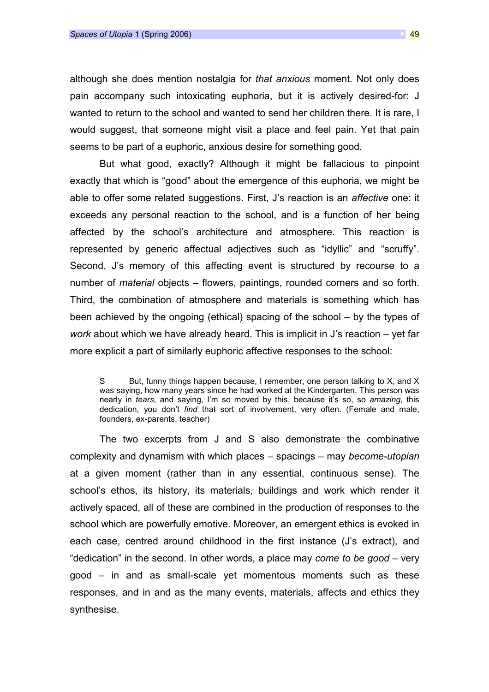although she does mention nostalgia for that anxious moment. Not only does pain accompany such intoxicating euphoria, but it is actively desired-for: J wanted to return to the school and wanted to send her children there. It is rare, I would suggest, that someone might visit a place and feel pain. Yet that pain seems to be part of a euphoric, anxious desire for something good.

But what good, exactly? Although it might be fallacious to pinpoint exactly that which is "good" about the emergence of this euphoria, we might be able to offer some related suggestions. First, J's reaction is an affective one: it exceeds any personal reaction to the school, and is a function of her being affected by the school's architecture and atmosphere. This reaction is represented by generic affectual adjectives such as "idyllic" and "scruffy". Second, J's memory of this affecting event is structured by recourse to a number of material objects – flowers, paintings, rounded corners and so forth. Third, the combination of atmosphere and materials is something which has been achieved by the ongoing (ethical) spacing of the school – by the types of work about which we have already heard. This is implicit in J's reaction – yet far more explicit a part of similarly euphoric affective responses to the school:

The two excerpts from J and S also demonstrate the combinative complexity and dynamism with which places – spacings – may become-utopian at a given moment (rather than in any essential, continuous sense). The school's ethos, its history, its materials, buildings and work which render it actively spaced, all of these are combined in the production of responses to the school which are powerfully emotive. Moreover, an emergent ethics is evoked in each case, centred around childhood in the first instance (J's extract), and "dedication" in the second. In other words, a place may come to be good – very good – in and as small-scale yet momentous moments such as these responses, and in and as the many events, materials, affects and ethics they synthesise.

S But, funny things happen because, I remember, one person talking to X, and X was saying, how many years since he had worked at the Kindergarten. This person was nearly in tears, and saying, I'm so moved by this, because it's so, so amazing, this dedication, you don't find that sort of involvement, very often. (Female and male, founders, ex-parents, teacher)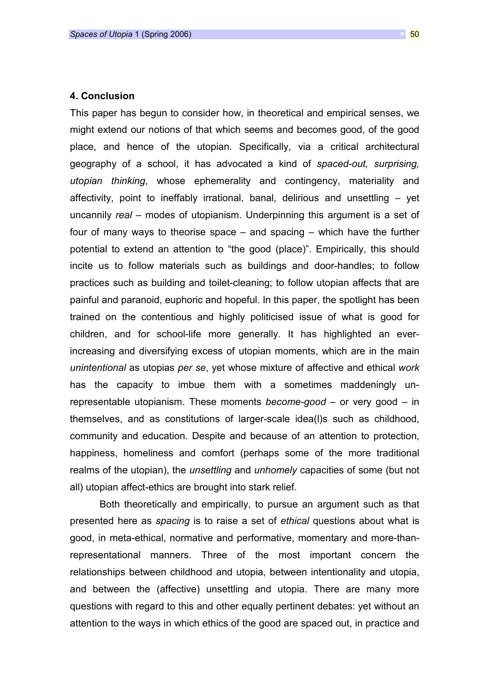### 4. Conclusion

This paper has begun to consider how, in theoretical and empirical senses, we might extend our notions of that which seems and becomes good, of the good place, and hence of the utopian. Specifically, via a critical architectural geography of a school, it has advocated a kind of spaced-out, surprising, utopian thinking, whose ephemerality and contingency, materiality and affectivity, point to ineffably irrational, banal, delirious and unsettling – yet uncannily real – modes of utopianism. Underpinning this argument is a set of four of many ways to theorise space – and spacing – which have the further potential to extend an attention to "the good (place)". Empirically, this should incite us to follow materials such as buildings and door-handles; to follow practices such as building and toilet-cleaning; to follow utopian affects that are painful and paranoid, euphoric and hopeful. In this paper, the spotlight has been trained on the contentious and highly politicised issue of what is good for children, and for school-life more generally. It has highlighted an everincreasing and diversifying excess of utopian moments, which are in the main unintentional as utopias per se, yet whose mixture of affective and ethical work has the capacity to imbue them with a sometimes maddeningly unrepresentable utopianism. These moments become-good  $-$  or very good  $-$  in themselves, and as constitutions of larger-scale idea(l)s such as childhood, community and education. Despite and because of an attention to protection, happiness, homeliness and comfort (perhaps some of the more traditional realms of the utopian), the *unsettling* and *unhomely* capacities of some (but not all) utopian affect-ethics are brought into stark relief.

Both theoretically and empirically, to pursue an argument such as that presented here as spacing is to raise a set of ethical questions about what is good, in meta-ethical, normative and performative, momentary and more-thanrepresentational manners. Three of the most important concern the relationships between childhood and utopia, between intentionality and utopia, and between the (affective) unsettling and utopia. There are many more questions with regard to this and other equally pertinent debates: yet without an attention to the ways in which ethics of the good are spaced out, in practice and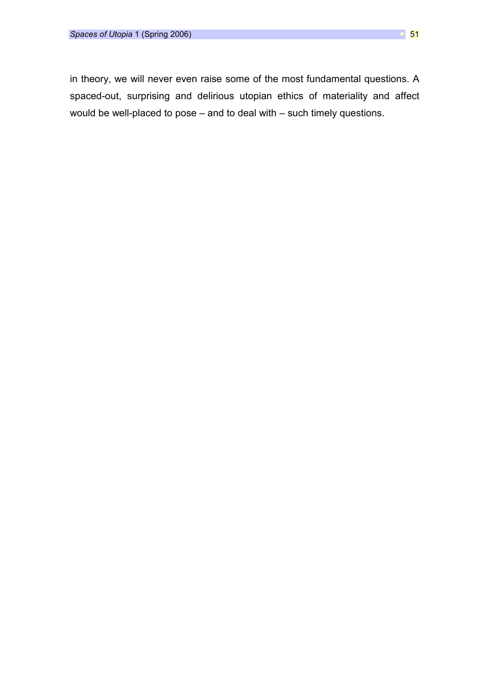in theory, we will never even raise some of the most fundamental questions. A spaced-out, surprising and delirious utopian ethics of materiality and affect would be well-placed to pose – and to deal with – such timely questions.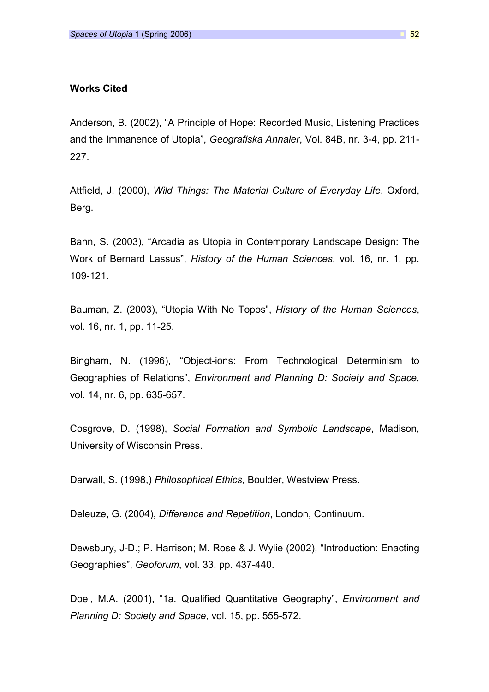### Works Cited

Anderson, B. (2002), "A Principle of Hope: Recorded Music, Listening Practices and the Immanence of Utopia", Geografiska Annaler, Vol. 84B, nr. 3-4, pp. 211- 227.

Attfield, J. (2000), Wild Things: The Material Culture of Everyday Life, Oxford, Berg.

Bann, S. (2003), "Arcadia as Utopia in Contemporary Landscape Design: The Work of Bernard Lassus", History of the Human Sciences, vol. 16, nr. 1, pp. 109-121.

Bauman, Z. (2003), "Utopia With No Topos", History of the Human Sciences, vol. 16, nr. 1, pp. 11-25.

Bingham, N. (1996), "Object-ions: From Technological Determinism to Geographies of Relations", Environment and Planning D: Society and Space, vol. 14, nr. 6, pp. 635-657.

Cosgrove, D. (1998), Social Formation and Symbolic Landscape, Madison, University of Wisconsin Press.

Darwall, S. (1998,) Philosophical Ethics, Boulder, Westview Press.

Deleuze, G. (2004), Difference and Repetition, London, Continuum.

Dewsbury, J-D.; P. Harrison; M. Rose & J. Wylie (2002), "Introduction: Enacting Geographies", Geoforum, vol. 33, pp. 437-440.

Doel, M.A. (2001), "1a. Qualified Quantitative Geography", Environment and Planning D: Society and Space, vol. 15, pp. 555-572.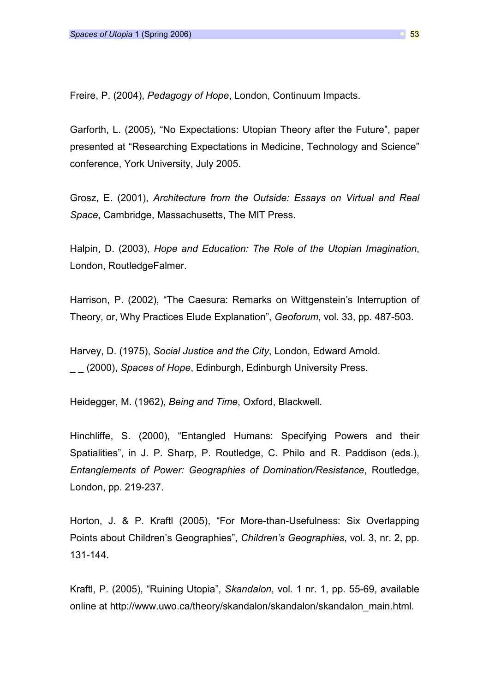Freire, P. (2004), Pedagogy of Hope, London, Continuum Impacts.

Garforth, L. (2005), "No Expectations: Utopian Theory after the Future", paper presented at "Researching Expectations in Medicine, Technology and Science" conference, York University, July 2005.

Grosz, E. (2001), Architecture from the Outside: Essays on Virtual and Real Space, Cambridge, Massachusetts, The MIT Press.

Halpin, D. (2003), Hope and Education: The Role of the Utopian Imagination, London, RoutledgeFalmer.

Harrison, P. (2002), "The Caesura: Remarks on Wittgenstein's Interruption of Theory, or, Why Practices Elude Explanation", Geoforum, vol. 33, pp. 487-503.

Harvey, D. (1975), Social Justice and the City, London, Edward Arnold.  $\Box$  (2000), Spaces of Hope, Edinburgh, Edinburgh University Press.

Heidegger, M. (1962), Being and Time, Oxford, Blackwell.

Hinchliffe, S. (2000), "Entangled Humans: Specifying Powers and their Spatialities", in J. P. Sharp, P. Routledge, C. Philo and R. Paddison (eds.), Entanglements of Power: Geographies of Domination/Resistance, Routledge, London, pp. 219-237.

Horton, J. & P. Kraftl (2005), "For More-than-Usefulness: Six Overlapping Points about Children's Geographies", Children's Geographies, vol. 3, nr. 2, pp. 131-144.

Kraftl, P. (2005), "Ruining Utopia", Skandalon, vol. 1 nr. 1, pp. 55-69, available online at http://www.uwo.ca/theory/skandalon/skandalon/skandalon\_main.html.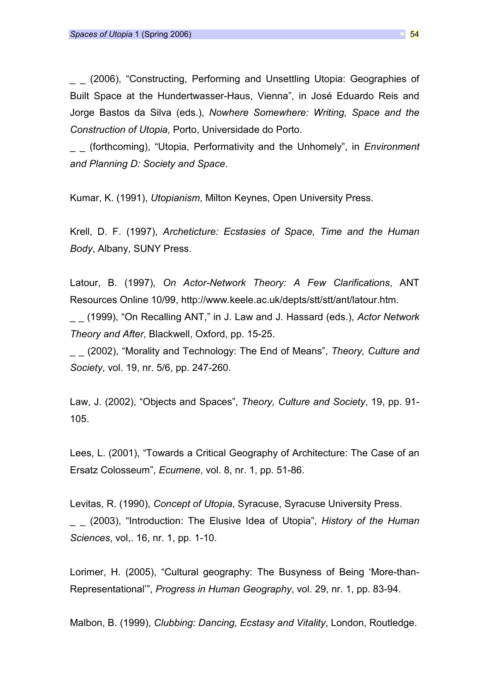(2006), "Constructing, Performing and Unsettling Utopia: Geographies of Built Space at the Hundertwasser-Haus, Vienna", in José Eduardo Reis and Jorge Bastos da Silva (eds.), Nowhere Somewhere: Writing, Space and the Construction of Utopia, Porto, Universidade do Porto.

(forthcoming), "Utopia, Performativity and the Unhomely", in *Environment* and Planning D: Society and Space.

Kumar, K. (1991), Utopianism, Milton Keynes, Open University Press.

Krell, D. F. (1997), Archeticture: Ecstasies of Space, Time and the Human Body, Albany, SUNY Press.

Latour, B. (1997), On Actor-Network Theory: A Few Clarifications, ANT Resources Online 10/99, http://www.keele.ac.uk/depts/stt/stt/ant/latour.htm.

(1999), "On Recalling ANT," in J. Law and J. Hassard (eds.), Actor Network Theory and After, Blackwell, Oxford, pp. 15-25.

(2002), "Morality and Technology: The End of Means", Theory, Culture and Society, vol. 19, nr. 5/6, pp. 247-260.

Law, J. (2002), "Objects and Spaces", Theory, Culture and Society, 19, pp. 91- 105.

Lees, L. (2001), "Towards a Critical Geography of Architecture: The Case of an Ersatz Colosseum", Ecumene, vol. 8, nr. 1, pp. 51-86.

Levitas, R. (1990), Concept of Utopia, Syracuse, Syracuse University Press.  $-$  (2003), "Introduction: The Elusive Idea of Utopia", History of the Human Sciences, vol,. 16, nr. 1, pp. 1-10.

Lorimer, H. (2005), "Cultural geography: The Busyness of Being 'More-than-Representational'", Progress in Human Geography, vol. 29, nr. 1, pp. 83-94.

Malbon, B. (1999), Clubbing: Dancing, Ecstasy and Vitality, London, Routledge.